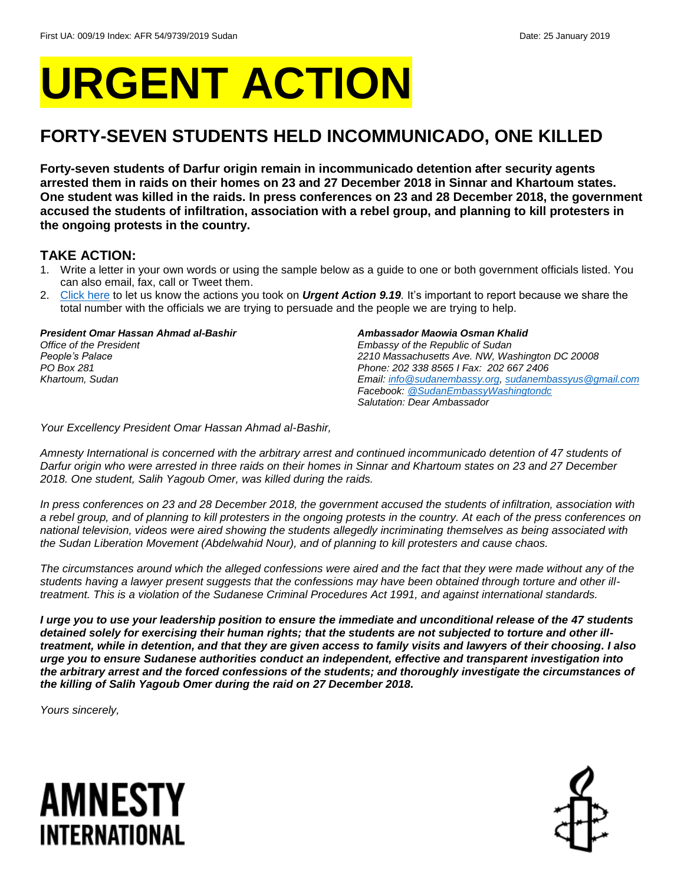# **URGENT ACTION**

### **FORTY-SEVEN STUDENTS HELD INCOMMUNICADO, ONE KILLED**

**Forty-seven students of Darfur origin remain in incommunicado detention after security agents arrested them in raids on their homes on 23 and 27 December 2018 in Sinnar and Khartoum states. One student was killed in the raids. In press conferences on 23 and 28 December 2018, the government accused the students of infiltration, association with a rebel group, and planning to kill protesters in the ongoing protests in the country.** 

### **TAKE ACTION:**

- 1. Write a letter in your own words or using the sample below as a guide to one or both government officials listed. You can also email, fax, call or Tweet them.
- 2. [Click here](https://www.amnestyusa.org/report-urgent-actions/) to let us know the actions you took on *Urgent Action 9.19.* It's important to report because we share the total number with the officials we are trying to persuade and the people we are trying to help.

*President Omar Hassan Ahmad al-Bashir*

*Office of the President People's Palace PO Box 281 Khartoum, Sudan*

#### *Ambassador Maowia Osman Khalid*

*Embassy of the Republic of Sudan 2210 Massachusetts Ave. NW, Washington DC 20008 Phone: 202 338 8565 I Fax: 202 667 2406 Email[: info@sudanembassy.org,](mailto:info@sudanembassy.org) [sudanembassyus@gmail.com](mailto:sudanembassyus@gmail.com) Facebook[: @SudanEmbassyWashingtondc](https://www.facebook.com/SudanEmbassyWashingtondc/) Salutation: Dear Ambassador*

*Your Excellency President Omar Hassan Ahmad al-Bashir,*

*Amnesty International is concerned with the arbitrary arrest and continued incommunicado detention of 47 students of Darfur origin who were arrested in three raids on their homes in Sinnar and Khartoum states on 23 and 27 December 2018. One student, Salih Yagoub Omer, was killed during the raids.* 

*In press conferences on 23 and 28 December 2018, the government accused the students of infiltration, association with a rebel group, and of planning to kill protesters in the ongoing protests in the country. At each of the press conferences on national television, videos were aired showing the students allegedly incriminating themselves as being associated with the Sudan Liberation Movement (Abdelwahid Nour), and of planning to kill protesters and cause chaos.* 

*The circumstances around which the alleged confessions were aired and the fact that they were made without any of the students having a lawyer present suggests that the confessions may have been obtained through torture and other illtreatment. This is a violation of the Sudanese Criminal Procedures Act 1991, and against international standards.* 

*I urge you to use your leadership position to ensure the immediate and unconditional release of the 47 students detained solely for exercising their human rights; that the students are not subjected to torture and other illtreatment, while in detention, and that they are given access to family visits and lawyers of their choosing. I also urge you to ensure Sudanese authorities conduct an independent, effective and transparent investigation into the arbitrary arrest and the forced confessions of the students; and thoroughly investigate the circumstances of the killing of Salih Yagoub Omer during the raid on 27 December 2018.*

*Yours sincerely,*

# AMNESTY INTERNATIONAL